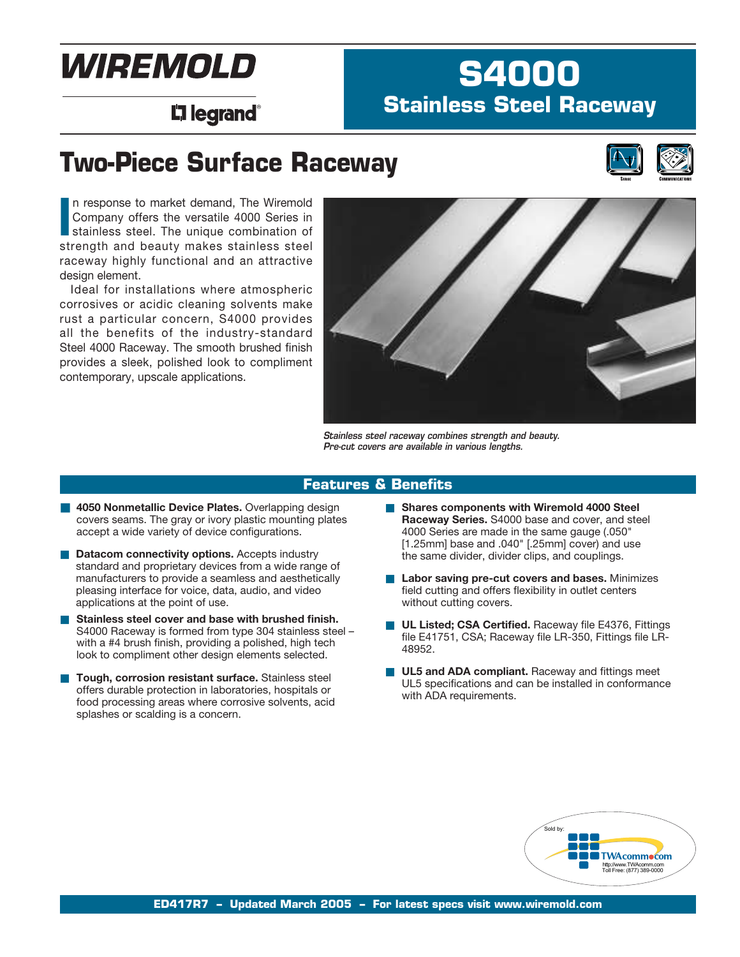# WIREMOLD

# **S4000 Stainless Steel Raceway**

# L<sub>i</sub>legrand®

# **Two-Piece Surface Raceway**



In response to market demand, The Wiremold Company offers the versatile 4000 Series in stainless steel. The unique combination of strength and beauty makes stainless steel n response to market demand, The Wiremold Company offers the versatile 4000 Series in stainless steel. The unique combination of raceway highly functional and an attractive design element.

Ideal for installations where atmospheric corrosives or acidic cleaning solvents make rust a particular concern, S4000 provides all the benefits of the industry-standard Steel 4000 Raceway. The smooth brushed finish provides a sleek, polished look to compliment contemporary, upscale applications.



*Stainless steel raceway combines strength and beauty. Pre-cut covers are available in various lengths.*

#### **Features & Benefits**

- **4050 Nonmetallic Device Plates.** Overlapping design covers seams. The gray or ivory plastic mounting plates accept a wide variety of device configurations.
- **Datacom connectivity options.** Accepts industry standard and proprietary devices from a wide range of manufacturers to provide a seamless and aesthetically pleasing interface for voice, data, audio, and video applications at the point of use.
- Stainless steel cover and base with brushed finish. S4000 Raceway is formed from type 304 stainless steel – with a #4 brush finish, providing a polished, high tech look to compliment other design elements selected.
- **Tough, corrosion resistant surface.** Stainless steel offers durable protection in laboratories, hospitals or food processing areas where corrosive solvents, acid splashes or scalding is a concern.
- **Shares components with Wiremold 4000 Steel Raceway Series.** S4000 base and cover, and steel 4000 Series are made in the same gauge (.050" [1.25mm] base and .040" [.25mm] cover) and use the same divider, divider clips, and couplings.
- Labor saving pre-cut covers and bases. Minimizes field cutting and offers flexibility in outlet centers without cutting covers.
- **UL Listed; CSA Certified.** Raceway file E4376, Fittings file E41751, CSA; Raceway file LR-350, Fittings file LR-48952.
- **UL5 and ADA compliant.** Raceway and fittings meet UL5 specifications and can be installed in conformance with ADA requirements.

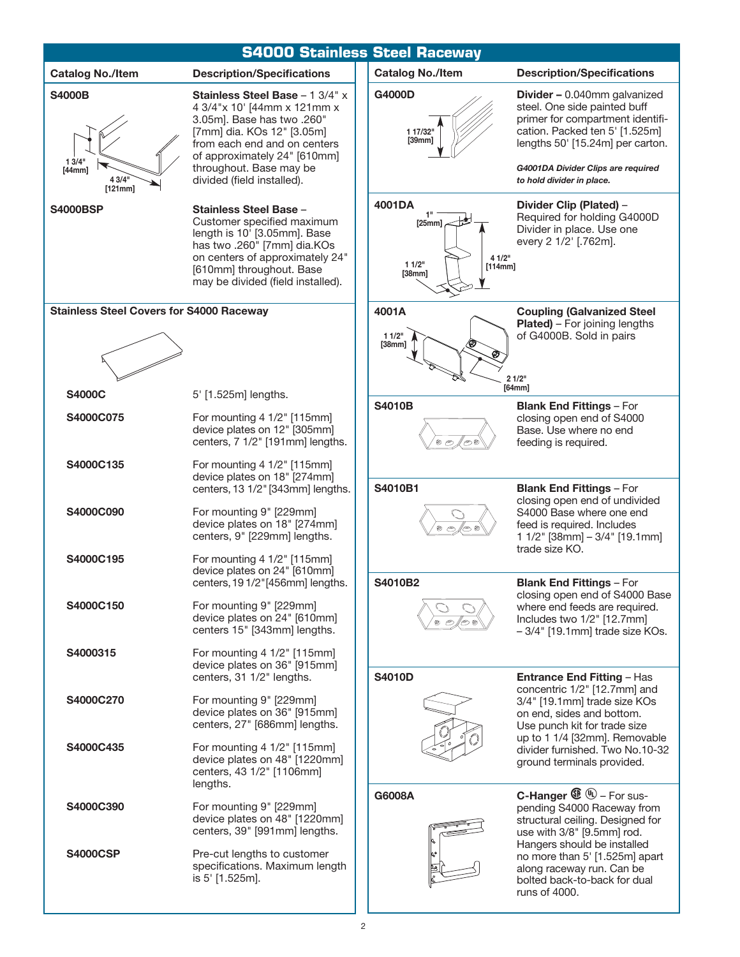|                                                       | <b>S4000 Stainless Steel Raceway</b>                                                                                                                                                                                                                |                                                          |                                                                                                                                                                                                                                                  |  |
|-------------------------------------------------------|-----------------------------------------------------------------------------------------------------------------------------------------------------------------------------------------------------------------------------------------------------|----------------------------------------------------------|--------------------------------------------------------------------------------------------------------------------------------------------------------------------------------------------------------------------------------------------------|--|
| <b>Catalog No./Item</b>                               | <b>Description/Specifications</b>                                                                                                                                                                                                                   | <b>Catalog No./Item</b>                                  | <b>Description/Specifications</b>                                                                                                                                                                                                                |  |
| <b>S4000B</b><br>13/4"<br>[44mm]<br>4 3/4"<br>[121mm] | Stainless Steel Base - 1 3/4" x<br>4 3/4"x 10' [44mm x 121mm x<br>3.05m]. Base has two .260"<br>[7mm] dia. KOs 12" [3.05m]<br>from each end and on centers<br>of approximately 24" [610mm]<br>throughout. Base may be<br>divided (field installed). | G4000D<br>1 17/32"<br>[39mm]                             | <b>Divider - 0.040mm galvanized</b><br>steel. One side painted buff<br>primer for compartment identifi-<br>cation. Packed ten 5' [1.525m]<br>lengths 50' [15.24m] per carton.<br>G4001DA Divider Clips are required<br>to hold divider in place. |  |
| <b>S4000BSP</b>                                       | <b>Stainless Steel Base -</b><br>Customer specified maximum<br>length is 10' [3.05mm]. Base<br>has two .260" [7mm] dia.KOs<br>on centers of approximately 24"<br>[610mm] throughout. Base<br>may be divided (field installed).                      | 4001DA<br>[25mm]<br>4 1/2"<br>11/2"<br>[114mm]<br>[38mm] | Divider Clip (Plated) -<br>Required for holding G4000D<br>Divider in place. Use one<br>every 2 1/2' [.762m].                                                                                                                                     |  |
| <b>Stainless Steel Covers for S4000 Raceway</b>       |                                                                                                                                                                                                                                                     | 4001A<br>11/2"<br>[38mm]                                 | <b>Coupling (Galvanized Steel</b><br><b>Plated)</b> - For joining lengths<br>of G4000B. Sold in pairs                                                                                                                                            |  |
| <b>S4000C</b>                                         | 5' [1.525m] lengths.                                                                                                                                                                                                                                |                                                          | 21/2"<br>[64mm]                                                                                                                                                                                                                                  |  |
| S4000C075                                             | For mounting 4 1/2" [115mm]<br>device plates on 12" [305mm]<br>centers, 7 1/2" [191mm] lengths.                                                                                                                                                     | <b>S4010B</b>                                            | <b>Blank End Fittings - For</b><br>closing open end of S4000<br>Base. Use where no end<br>feeding is required.                                                                                                                                   |  |
| S4000C135                                             | For mounting 4 1/2" [115mm]<br>device plates on 18" [274mm]<br>centers, 13 1/2" [343mm] lengths.                                                                                                                                                    | S4010B1                                                  | <b>Blank End Fittings - For</b>                                                                                                                                                                                                                  |  |
| S4000C090                                             | For mounting 9" [229mm]<br>device plates on 18" [274mm]<br>centers, 9" [229mm] lengths.                                                                                                                                                             |                                                          | closing open end of undivided<br>S4000 Base where one end<br>feed is required. Includes<br>1 1/2" [38mm] - 3/4" [19.1mm]<br>trade size KO.                                                                                                       |  |
| S4000C195                                             | For mounting 4 1/2" [115mm]<br>device plates on 24" [610mm]<br>centers, 19 1/2" [456mm] lengths.                                                                                                                                                    | S4010B2                                                  | <b>Blank End Fittings - For</b>                                                                                                                                                                                                                  |  |
| S4000C150                                             | For mounting 9" [229mm]<br>device plates on 24" [610mm]<br>centers 15" [343mm] lengths.                                                                                                                                                             |                                                          | closing open end of S4000 Base<br>where end feeds are required.<br>Includes two 1/2" [12.7mm]<br>-3/4" [19.1mm] trade size KOs.                                                                                                                  |  |
| S4000315                                              | For mounting 4 1/2" [115mm]<br>device plates on 36" [915mm]<br>centers, 31 1/2" lengths.                                                                                                                                                            | <b>S4010D</b>                                            | <b>Entrance End Fitting - Has</b>                                                                                                                                                                                                                |  |
| S4000C270                                             | For mounting 9" [229mm]<br>device plates on 36" [915mm]<br>centers, 27" [686mm] lengths.                                                                                                                                                            |                                                          | concentric 1/2" [12.7mm] and<br>3/4" [19.1mm] trade size KOs<br>on end, sides and bottom.<br>Use punch kit for trade size                                                                                                                        |  |
| S4000C435                                             | For mounting 4 1/2" [115mm]<br>device plates on 48" [1220mm]<br>centers, 43 1/2" [1106mm]<br>lengths.                                                                                                                                               |                                                          | up to 1 1/4 [32mm]. Removable<br>divider furnished. Two No.10-32<br>ground terminals provided.                                                                                                                                                   |  |
| S4000C390                                             | For mounting 9" [229mm]<br>device plates on 48" [1220mm]<br>centers, 39" [991mm] lengths.                                                                                                                                                           | G6008A                                                   | <b>C-Hanger <math>\mathbf{\mathfrak{B}}\ \mathbf{\mathfrak{B}}</math> – For sus-</b><br>pending S4000 Raceway from<br>structural ceiling. Designed for<br>use with 3/8" [9.5mm] rod.                                                             |  |
| <b>S4000CSP</b>                                       | Pre-cut lengths to customer<br>specifications. Maximum length<br>is 5' [1.525m].                                                                                                                                                                    |                                                          | Hangers should be installed<br>no more than 5' [1.525m] apart<br>along raceway run. Can be<br>bolted back-to-back for dual<br>runs of 4000.                                                                                                      |  |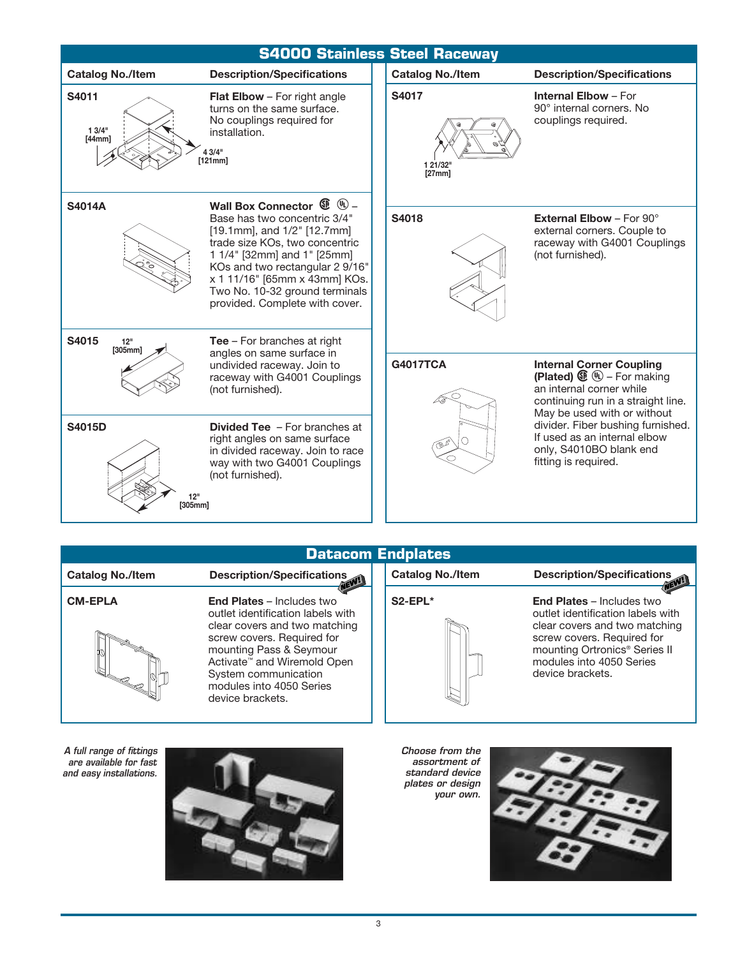

#### **Catalog No./Item Description/Specifications CM-EPLA End Plates** – Includes two outlet identification labels with clear covers and two matching screw covers. Required for mounting Pass & Seymour Activate™ and Wiremold Open System communication modules into 4050 Series device brackets. **Catalog No./Item Description/Specifications S2-EPL\* End Plates** – Includes two outlet identification labels with clear covers and two matching screw covers. Required for mounting Ortronics® Series II modules into 4050 Series device brackets. **Datacom Endplates** *A full range of fittings are available for fast Choose from the assortment of*

*and easy installations.*



*standard device plates or design your own.*

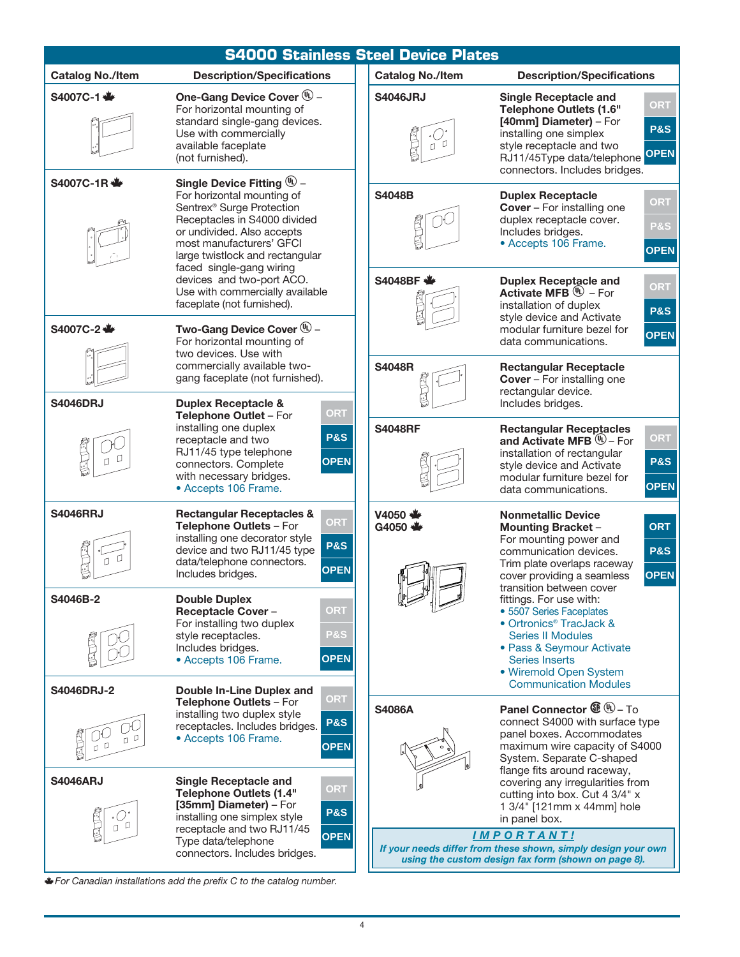| <b>S4000 Stainless Steel Device Plates</b>                                                                                                                                                                                                              |                                                                                                                                                                                                                                                      |                                                                                                                                           |                                                                                                                                                                                                                                                       |  |  |
|---------------------------------------------------------------------------------------------------------------------------------------------------------------------------------------------------------------------------------------------------------|------------------------------------------------------------------------------------------------------------------------------------------------------------------------------------------------------------------------------------------------------|-------------------------------------------------------------------------------------------------------------------------------------------|-------------------------------------------------------------------------------------------------------------------------------------------------------------------------------------------------------------------------------------------------------|--|--|
| <b>Catalog No./Item</b>                                                                                                                                                                                                                                 | <b>Description/Specifications</b>                                                                                                                                                                                                                    | <b>Catalog No./Item</b>                                                                                                                   | <b>Description/Specifications</b>                                                                                                                                                                                                                     |  |  |
| S4007C-1 <■                                                                                                                                                                                                                                             | One-Gang Device Cover (4) -<br>For horizontal mounting of<br>standard single-gang devices.<br>Use with commercially<br>available faceplate<br>(not furnished).                                                                                       | <b>S4046JRJ</b><br>U.                                                                                                                     | <b>Single Receptacle and</b><br><b>ORT</b><br><b>Telephone Outlets (1.6"</b><br>[40mm] Diameter) - For<br><b>P&amp;S</b><br>installing one simplex<br>style receptacle and two<br>RJ11/45Type data/telephone OPEN<br>connectors. Includes bridges.    |  |  |
| Single Device Fitting $\mathbb{Q}$ –<br>S4007C-1R <<br>For horizontal mounting of<br>Sentrex <sup>®</sup> Surge Protection<br>Receptacles in S4000 divided<br>or undivided. Also accepts<br>most manufacturers' GFCI<br>large twistlock and rectangular |                                                                                                                                                                                                                                                      | <b>S4048B</b>                                                                                                                             | <b>Duplex Receptacle</b><br>ORT<br><b>Cover</b> - For installing one<br>duplex receptacle cover.<br><b>P&amp;S</b><br>Includes bridges.<br>• Accepts 106 Frame.<br><b>OPEN</b>                                                                        |  |  |
| S4007C-2 →                                                                                                                                                                                                                                              | faced single-gang wiring<br>devices and two-port ACO.<br>Use with commercially available<br>faceplate (not furnished).<br>Two-Gang Device Cover (4) -                                                                                                | S4048BF <                                                                                                                                 | <b>Duplex Receptacle and</b><br><b>ORT</b><br><b>Activate MFB</b> $\mathbf{W}$ – For<br>installation of duplex<br><b>P&amp;S</b><br>style device and Activate<br>modular furniture bezel for                                                          |  |  |
|                                                                                                                                                                                                                                                         | For horizontal mounting of<br>two devices. Use with<br>commercially available two-<br>gang faceplate (not furnished).                                                                                                                                | <b>S4048R</b>                                                                                                                             | <b>OPEN</b><br>data communications.<br><b>Rectangular Receptacle</b><br><b>Cover</b> - For installing one<br>rectangular device.                                                                                                                      |  |  |
| <b>S4046DRJ</b>                                                                                                                                                                                                                                         | <b>Duplex Receptacle &amp;</b><br>ORT<br>Telephone Outlet - For<br>installing one duplex<br><b>P&amp;S</b><br>receptacle and two<br>RJ11/45 type telephone<br><b>OPEN</b><br>connectors. Complete<br>with necessary bridges.<br>• Accepts 106 Frame. | <b>S4048RF</b>                                                                                                                            | Includes bridges.<br><b>Rectangular Receptacles</b><br>ORT<br>and Activate MFB $\mathbb{W}$ – For<br>installation of rectangular<br><b>P&amp;S</b><br>style device and Activate<br>modular furniture bezel for<br><b>OPEN</b><br>data communications. |  |  |
| <b>S4046RRJ</b>                                                                                                                                                                                                                                         | <b>Rectangular Receptacles &amp;</b><br><b>ORT</b><br>Telephone Outlets - For<br>installing one decorator style<br><b>P&amp;S</b><br>device and two RJ11/45 type<br>data/telephone connectors.<br><b>OPEN</b><br>Includes bridges.                   | $V4050 +$<br>G4050 <                                                                                                                      | <b>Nonmetallic Device</b><br><b>ORT</b><br><b>Mounting Bracket -</b><br>For mounting power and<br><b>P&amp;S</b><br>communication devices.<br>Trim plate overlaps raceway<br><b>OPEN</b><br>cover providing a seamless<br>transition between cover    |  |  |
| S4046B-2<br><b>S4046DRJ-2</b>                                                                                                                                                                                                                           | <b>Double Duplex</b><br>ORT<br><b>Receptacle Cover -</b><br>For installing two duplex<br><b>P&amp;S</b><br>style receptacles.<br>Includes bridges.<br><b>OPEN</b><br>• Accepts 106 Frame.<br>Double In-Line Duplex and                               |                                                                                                                                           | fittings. For use with:<br>• 5507 Series Faceplates<br>• Ortronics <sup>®</sup> TracJack &<br><b>Series II Modules</b><br>• Pass & Seymour Activate<br><b>Series Inserts</b><br>• Wiremold Open System<br><b>Communication Modules</b>                |  |  |
| 0 <sup>0</sup><br>IJ.                                                                                                                                                                                                                                   | ORT<br>Telephone Outlets - For<br>installing two duplex style<br><b>P&amp;S</b><br>receptacles. Includes bridges.<br>• Accepts 106 Frame.<br><b>OPEN</b>                                                                                             | <b>S4086A</b>                                                                                                                             | <b>Panel Connector <math>\mathbf{\mathfrak{B}}\mathbf{\oplus}</math> – To</b><br>connect S4000 with surface type<br>panel boxes. Accommodates<br>maximum wire capacity of S4000<br>System. Separate C-shaped                                          |  |  |
| <b>S4046ARJ</b>                                                                                                                                                                                                                                         | <b>Single Receptacle and</b><br>ORT<br><b>Telephone Outlets (1.4"</b><br>[35mm] Diameter) - For<br><b>P&amp;S</b><br>installing one simplex style<br>receptacle and two RJ11/45                                                                      |                                                                                                                                           | flange fits around raceway,<br>covering any irregularities from<br>cutting into box. Cut 4 3/4" x<br>1 3/4" [121mm x 44mm] hole<br>in panel box.                                                                                                      |  |  |
|                                                                                                                                                                                                                                                         | <b>OPEN</b><br>Type data/telephone<br>connectors. Includes bridges.                                                                                                                                                                                  | <b>IMPORTANT!</b><br>If your needs differ from these shown, simply design your own<br>using the custom design fax form (shown on page 8). |                                                                                                                                                                                                                                                       |  |  |

<sup>m</sup>*For Canadian installations add the prefix C to the catalog number.*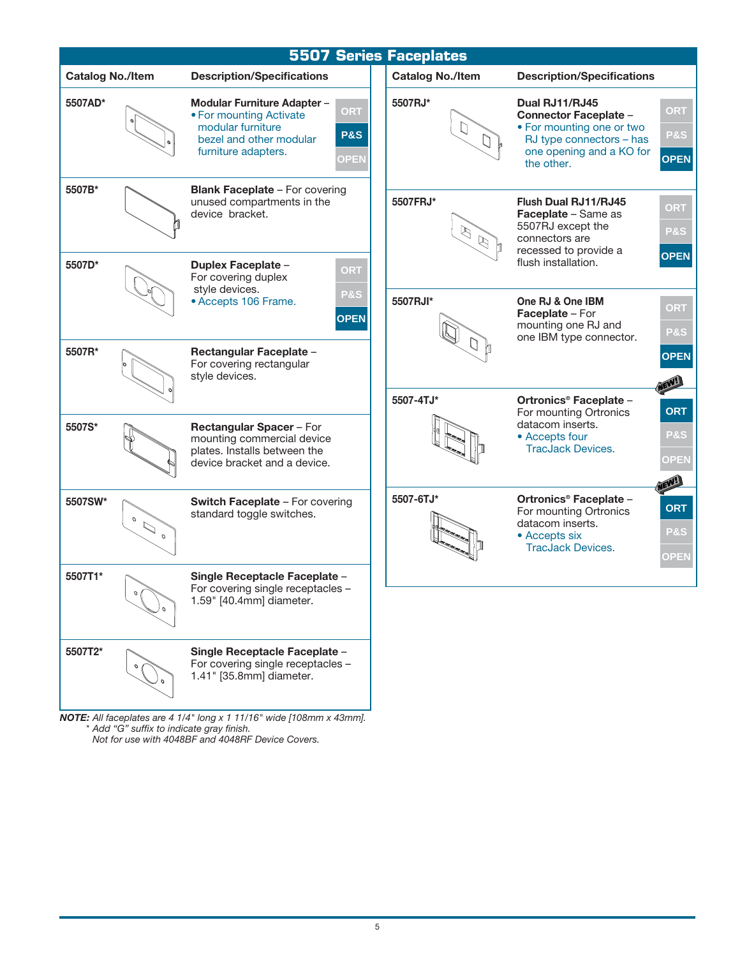|                         |                                            |                                                                                                                               |                                      | <b>5507 Series Faceplates</b>  |                                                                                                                                                   |                                                     |
|-------------------------|--------------------------------------------|-------------------------------------------------------------------------------------------------------------------------------|--------------------------------------|--------------------------------|---------------------------------------------------------------------------------------------------------------------------------------------------|-----------------------------------------------------|
| <b>Catalog No./Item</b> |                                            | <b>Description/Specifications</b>                                                                                             |                                      | <b>Catalog No./Item</b>        | <b>Description/Specifications</b>                                                                                                                 |                                                     |
| 5507AD*                 |                                            | Modular Furniture Adapter -<br>• For mounting Activate<br>modular furniture<br>bezel and other modular<br>furniture adapters. | ORT<br><b>P&amp;S</b><br><b>OPEN</b> | 5507RJ*<br>$\Box$              | Dual RJ11/RJ45<br><b>Connector Faceplate -</b><br>• For mounting one or two<br>RJ type connectors - has<br>one opening and a KO for<br>the other. | <b>ORT</b><br><b>P&amp;S</b><br><b>OPEN</b>         |
| 5507B*<br>5507D*        |                                            | <b>Blank Faceplate - For covering</b><br>unused compartments in the<br>device bracket.<br><b>Duplex Faceplate -</b>           | ORT                                  | 5507FRJ*<br>$\beta$<br>$\beta$ | Flush Dual RJ11/RJ45<br><b>Faceplate - Same as</b><br>5507RJ except the<br>connectors are<br>recessed to provide a<br>flush installation.         | <b>ORT</b><br><b>P&amp;S</b><br><b>OPEN</b>         |
|                         |                                            | For covering duplex<br>style devices.<br>• Accepts 106 Frame.                                                                 | P&S<br><b>OPEN</b>                   | 5507RJI*                       | One RJ & One IBM<br>Faceplate - For<br>mounting one RJ and<br>one IBM type connector.                                                             | <b>ORT</b><br>P&S                                   |
| 5507R*                  |                                            | Rectangular Faceplate -<br>For covering rectangular<br>style devices.                                                         |                                      | 5507-4TJ*                      | Ortronics <sup>®</sup> Faceplate -                                                                                                                | <b>OPEN</b>                                         |
| 5507S*                  |                                            | <b>Rectangular Spacer - For</b><br>mounting commercial device<br>plates. Installs between the<br>device bracket and a device. |                                      |                                | For mounting Ortronics<br>datacom inserts.<br>• Accepts four<br><b>TracJack Devices.</b>                                                          | <b>ORT</b><br><b>P&amp;S</b><br>OPEN<br><b>NEW!</b> |
| 5507SW*                 | $\cal O$<br>$\mathcal{D}$<br>$\mathcal{O}$ | <b>Switch Faceplate - For covering</b><br>standard toggle switches.                                                           |                                      | 5507-6TJ*                      | Ortronics <sup>®</sup> Faceplate -<br>For mounting Ortronics<br>datacom inserts.<br>• Accepts six<br><b>TracJack Devices.</b>                     | <b>ORT</b><br><b>P&amp;S</b><br><b>OPEN</b>         |
| 5507T1*                 |                                            | Single Receptacle Faceplate -<br>For covering single receptacles -<br>1.59" [40.4mm] diameter.                                |                                      |                                |                                                                                                                                                   |                                                     |
| 5507T2*                 |                                            | Single Receptacle Faceplate -<br>For covering single receptacles -<br>1.41" [35.8mm] diameter.                                |                                      |                                |                                                                                                                                                   |                                                     |

*NOTE: All faceplates are 4 1/4" long x 1 11/16" wide [108mm x 43mm]. \* Add "G" suffix to indicate gray finish. Not for use with 4048BF and 4048RF Device Covers.*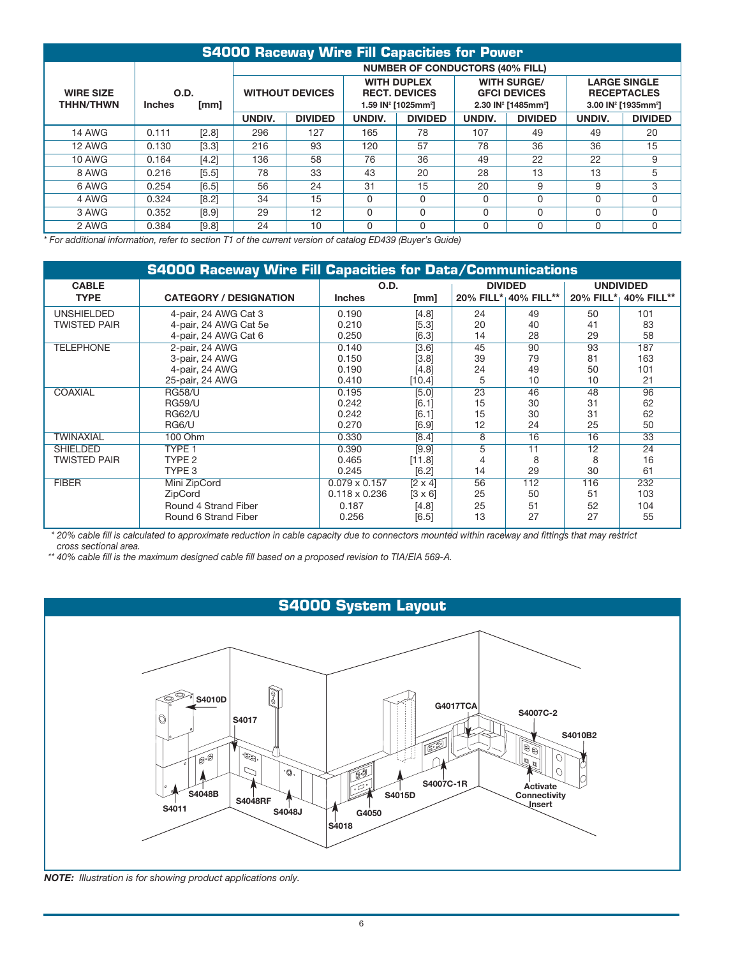| <b>S4000 Raceway Wire Fill Capacities for Power</b> |                               |       |                                        |                |                                                                                           |                |                                                                                          |                |                                                                                          |                |
|-----------------------------------------------------|-------------------------------|-------|----------------------------------------|----------------|-------------------------------------------------------------------------------------------|----------------|------------------------------------------------------------------------------------------|----------------|------------------------------------------------------------------------------------------|----------------|
|                                                     |                               |       | <b>NUMBER OF CONDUCTORS (40% FILL)</b> |                |                                                                                           |                |                                                                                          |                |                                                                                          |                |
| <b>WIRE SIZE</b><br><b>THHN/THWN</b>                | O.D.<br><b>Inches</b><br>[mm] |       | <b>WITHOUT DEVICES</b>                 |                | <b>WITH DUPLEX</b><br><b>RECT. DEVICES</b><br>1.59 IN <sup>2</sup> [1025mm <sup>2</sup> ] |                | <b>WITH SURGE/</b><br><b>GFCI DEVICES</b><br>2.30 IN <sup>2</sup> [1485mm <sup>2</sup> ] |                | <b>LARGE SINGLE</b><br><b>RECEPTACLES</b><br>3.00 IN <sup>2</sup> [1935mm <sup>2</sup> ] |                |
|                                                     |                               |       | UNDIV.                                 | <b>DIVIDED</b> | <b>UNDIV.</b>                                                                             | <b>DIVIDED</b> | UNDIV.                                                                                   | <b>DIVIDED</b> | UNDIV.                                                                                   | <b>DIVIDED</b> |
| <b>14 AWG</b>                                       | 0.111                         | [2.8] | 296                                    | 127            | 165                                                                                       | 78             | 107                                                                                      | 49             | 49                                                                                       | 20             |
| <b>12 AWG</b>                                       | 0.130                         | [3.3] | 216                                    | 93             | 120                                                                                       | 57             | 78                                                                                       | 36             | 36                                                                                       | 15             |
| <b>10 AWG</b>                                       | 0.164                         | [4.2] | 136                                    | 58             | 76                                                                                        | 36             | 49                                                                                       | 22             | 22                                                                                       | 9              |
| 8 AWG                                               | 0.216                         | [5.5] | 78                                     | 33             | 43                                                                                        | 20             | 28                                                                                       | 13             | 13                                                                                       | 5              |
| 6 AWG                                               | 0.254                         | [6.5] | 56                                     | 24             | 31                                                                                        | 15             | 20                                                                                       | 9              | 9                                                                                        | 3              |
| 4 AWG                                               | 0.324                         | [8.2] | 34                                     | 15             | $\Omega$                                                                                  | $\Omega$       | $\Omega$                                                                                 | $\Omega$       |                                                                                          | $\Omega$       |
| 3 AWG                                               | 0.352                         | [8.9] | 29                                     | 12             | $\Omega$                                                                                  | $\Omega$       | $\Omega$                                                                                 | <sup>0</sup>   | O                                                                                        | $\Omega$       |
| 2 AWG                                               | 0.384                         | [9.8] | 24                                     | 10             | O                                                                                         | 0              | 0                                                                                        | 0              | O                                                                                        | 0              |

*\* For additional information, refer to section T1 of the current version of catalog ED439 (Buyer's Guide)*

|                     | <b>S4000 Raceway Wire Fill Capacities for Data/Communications</b> |                      |                |                |                      |                  |                      |
|---------------------|-------------------------------------------------------------------|----------------------|----------------|----------------|----------------------|------------------|----------------------|
| <b>CABLE</b>        |                                                                   | O.D.                 |                | <b>DIVIDED</b> |                      | <b>UNDIVIDED</b> |                      |
| <b>TYPE</b>         | <b>CATEGORY / DESIGNATION</b>                                     | <b>Inches</b>        | [mm]           |                | 20% FILL* 40% FILL** |                  | 20% FILL* 40% FILL** |
| <b>UNSHIELDED</b>   | 4-pair, 24 AWG Cat 3                                              | 0.190                | [4.8]          | 24             | 49                   | 50               | 101                  |
| <b>TWISTED PAIR</b> | 4-pair, 24 AWG Cat 5e                                             | 0.210                | [5.3]          | 20             | 40                   | 41               | 83                   |
|                     | 4-pair, 24 AWG Cat 6                                              | 0.250                | [6.3]          | 14             | 28                   | 29               | 58                   |
| <b>TELEPHONE</b>    | 2-pair, 24 AWG                                                    | 0.140                | [3.6]          | 45             | 90                   | 93               | 187                  |
|                     | 3-pair, 24 AWG                                                    | 0.150                | [3.8]          | 39             | 79                   | 81               | 163                  |
|                     | 4-pair, 24 AWG                                                    | 0.190                | [4.8]          | 24             | 49                   | 50               | 101                  |
|                     | 25-pair, 24 AWG                                                   | 0.410                | [10.4]         | 5              | 10                   | 10               | 21                   |
| COAXIAL             | <b>RG58/U</b>                                                     | 0.195                | [5.0]          | 23             | 46                   | 48               | 96                   |
|                     | <b>RG59/U</b>                                                     | 0.242                | [6.1]          | 15             | 30                   | 31               | 62                   |
|                     | <b>RG62/U</b>                                                     | 0.242                | [6.1]          | 15             | 30                   | 31               | 62                   |
|                     | RG6/U                                                             | 0.270                | [6.9]          | 12             | 24                   | 25               | 50                   |
| <b>TWINAXIAL</b>    | 100 Ohm                                                           | 0.330                | [8.4]          | 8              | 16                   | 16               | 33                   |
| <b>SHIELDED</b>     | TYPE <sub>1</sub>                                                 | 0.390                | [9.9]          | 5              | 11                   | 12               | 24                   |
| <b>TWISTED PAIR</b> | TYPE <sub>2</sub>                                                 | 0.465                | [11.8]         |                | 8                    | 8                | 16                   |
|                     | TYPE 3                                                            | 0.245                | [6.2]          | 14             | 29                   | 30               | 61                   |
| <b>FIBER</b>        | Mini ZipCord                                                      | $0.079 \times 0.157$ | $[2 \times 4]$ | 56             | 112                  | 116              | 232                  |
|                     | ZipCord                                                           | $0.118 \times 0.236$ | $[3 \times 6]$ | 25             | 50                   | 51               | 103                  |
|                     | Round 4 Strand Fiber                                              | 0.187                | [4.8]          | 25             | 51                   | 52               | 104                  |
|                     | Round 6 Strand Fiber                                              | 0.256                | [6.5]          | 13             | 27                   | 27               | 55                   |

*\* 20% cable fill is calculated to approximate reduction in cable capacity due to connectors mounted within raceway and fittings that may restrict cross sectional area.*

*\*\* 40% cable fill is the maximum designed cable fill based on a proposed revision to TIA/EIA 569-A.*



*NOTE: Illustration is for showing product applications only.*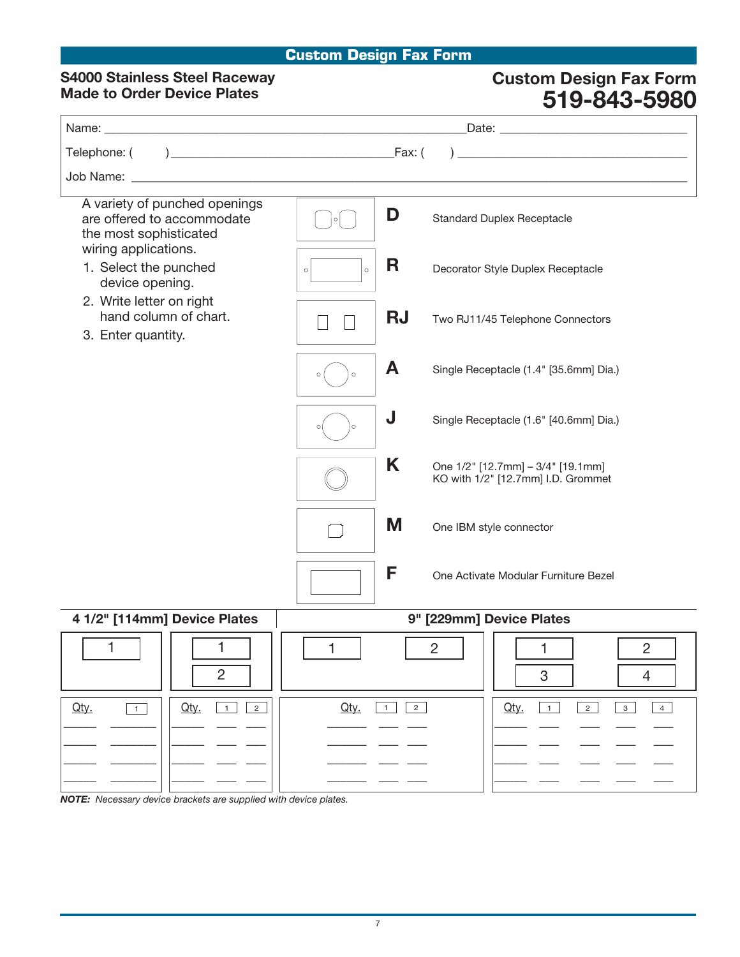### **Custom Design Fax Form**

### **S4000 Stainless Steel Raceway Made to Order Device Plates**

## **Custom Design Fax Form 519-843-5980**

| A variety of punched openings<br>are offered to accommodate<br>the most sophisticated | D<br><b>Standard Duplex Receptacle</b><br>$\circ$                            |  |  |  |
|---------------------------------------------------------------------------------------|------------------------------------------------------------------------------|--|--|--|
| wiring applications.<br>1. Select the punched<br>device opening.                      | R<br>Decorator Style Duplex Receptacle<br>$\circ$                            |  |  |  |
| 2. Write letter on right<br>hand column of chart.<br>3. Enter quantity.               | <b>RJ</b><br>Two RJ11/45 Telephone Connectors                                |  |  |  |
|                                                                                       | A<br>Single Receptacle (1.4" [35.6mm] Dia.)<br>$\circ$<br>$\circ$            |  |  |  |
|                                                                                       | J<br>Single Receptacle (1.6" [40.6mm] Dia.)                                  |  |  |  |
|                                                                                       | K<br>One 1/2" [12.7mm] - 3/4" [19.1mm]<br>KO with 1/2" [12.7mm] I.D. Grommet |  |  |  |
|                                                                                       | M<br>One IBM style connector                                                 |  |  |  |
|                                                                                       | F<br>One Activate Modular Furniture Bezel                                    |  |  |  |
| 4 1/2" [114mm] Device Plates                                                          | 9" [229mm] Device Plates                                                     |  |  |  |
| 1<br>1<br>$\overline{2}$                                                              | 1<br>$\overline{2}$<br>$\overline{c}$<br>1<br>3<br>$\overline{4}$            |  |  |  |
| Qty.<br>Qty.<br>$\overline{1}$<br>$\overline{2}$<br>$\overline{1}$                    | Qty.<br>1<br>Qty.<br>$\overline{2}$<br>$\mathbf{3}$<br>$2^{\circ}$<br>1<br>4 |  |  |  |
|                                                                                       |                                                                              |  |  |  |

*NOTE: Necessary device brackets are supplied with device plates.*